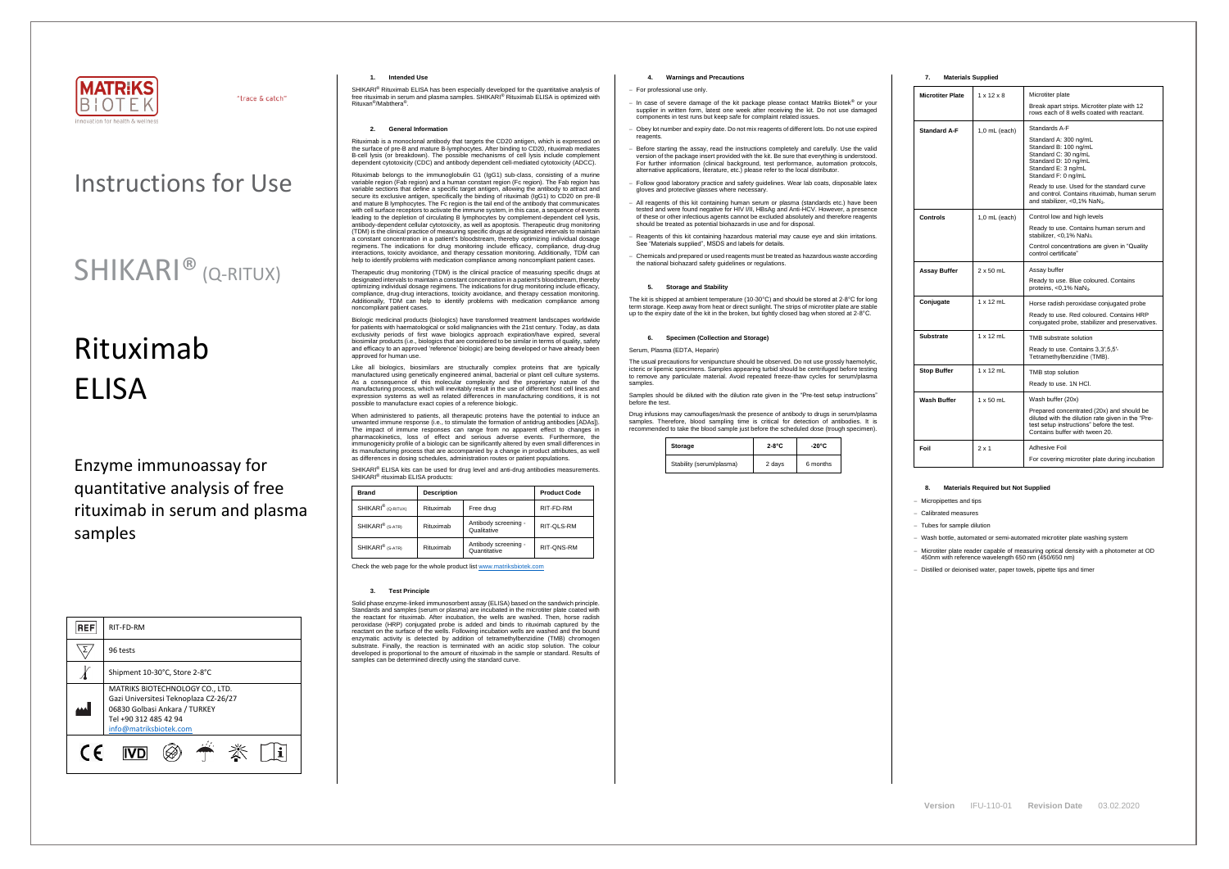

"trace & catch"

## Instructions for Use

## SHIKARI<sup>®</sup> (Q-RITUX)

# Rituximab ELISA

Enzyme immunoassay for quantitative analysis of free rituximab in serum and plasma samples

| <b>REF</b> | RIT-FD-RM                                                                                                                                                    |  |  |
|------------|--------------------------------------------------------------------------------------------------------------------------------------------------------------|--|--|
|            | 96 tests                                                                                                                                                     |  |  |
|            | Shipment 10-30°C, Store 2-8°C                                                                                                                                |  |  |
|            | MATRIKS BIOTECHNOLOGY CO., LTD.<br>Gazi Universitesi Teknoplaza CZ-26/27<br>06830 Golbasi Ankara / TURKEY<br>Tel +90 312 485 42 94<br>info@matriksbiotek.com |  |  |
| C E        |                                                                                                                                                              |  |  |

SHIKARI® Rituximab ELISA has been especially developed for the quantitative analysis of<br>free rituximab in serum and plasma samples. SHIKARI® Rituximab ELISA is optimized with Rituxan® /Mabthera® .

## **1. Intended Use**

## **2. General Information**

Rituximab is a monoclonal antibody that targets the CD20 antigen, which is expressed on the surface of pre-B and mature B-lymphocytes. After binding to CD20, rituximab mediates B-cell lysis (or breakdown). The possible mechanisms of cell lysis include complement dependent cytotoxicity (CDC) and antibody dependent cell-mediated cytotoxicity (ADCC).

Biologic medicinal products (biologics) have transformed treatment landscapes worldwide for patients with haematological or solid malignancies with the 21st century. Today, as data exclusivity periods of first wave biologics approach expiration/have expired, several biosimilar products (i.e., biologics that are considered to be similar in terms of quality, safety and efficacy to an approved 'reference' biologic) are being developed or have already been approved for human use.

Rituximab belongs to the immunoglobulin G1 (IgG1) sub-class, consisting of a murine variable region (Fab region) and a human constant region (Fc region). The Fab region has variable sections that define a specific target antigen, allowing the antibody to attract and secure its exclusive antigen, specifically the binding of rituximab (IgG1) to CD20 on pre-B and mature B lymphocytes. The Fc region is the tail end of the antibody that communicates with cell surface receptors to activate the immune system, in this case, a sequence of events leading to the depletion of circulating B lymphocytes by complement-dependent cell lysis, antibody-dependent cellular cytotoxicity, as well as apoptosis. Therapeutic drug monitoring (TDM) is the clinical practice of measuring specific drugs at designated intervals to maintain a constant concentration in a patient's bloodstream, thereby optimizing individual dosage regimens. The indications for drug monitoring include efficacy, compliance, drug-drug interactions, toxicity avoidance, and therapy cessation monitoring. Additionally, TDM can help to identify problems with medication compliance among noncompliant patient cases.

When administered to patients, all therapeutic proteins have the potential to induce an unwanted immune response (i.e., to stimulate the formation of antidrug antibodies [ADAs]). The impact of immune responses can range from no apparent effect to changes in pharmacokinetics, loss of effect and serious adverse events. Furthermore, the immunogenicity profile of a biologic can be significantly altered by even small differences in its manufacturing process that are accompanied by a change in product attributes, as well as differences in dosing schedules, administration routes or patient populations.

SHIKARI<sup>®</sup> ELISA kits can be used for drug level and anti-drug antibodies measurements. SHIKARI<sup>®</sup> rituximab ELISA products:

Solid phase enzyme-linked immunosorbent assay (ELISA) based on the sandwich principle. Standards and samples (serum or plasma) are incubated in the microtiter plate coated with the reactant for rituximab. After incubation, the wells are washed. Then, horse radish peroxidase (HRP) conjugated probe is added and binds to rituximab captured by the reactant on the surface of the wells. Following incubation wells are washed and the bound enzymatic activity is detected by addition of tetramethylbenzidine (TMB) chromogen substrate. Finally, the reaction is terminated with an acidic stop solution. The colour developed is proportional to the amount of rituximab in the sample or standard. Results of samples can be determined directly using the standard curve.

Therapeutic drug monitoring (TDM) is the clinical practice of measuring specific drugs at designated intervals to maintain a constant concentration in a patient's bloodstream, thereby optimizing individual dosage regimens. The indications for drug monitoring include efficacy, compliance, drug-drug interactions, toxicity avoidance, and therapy cessation monitoring. Additionally, TDM can help to identify problems with medication compliance among noncompliant patient cases.

Like all biologics, biosimilars are structurally complex proteins that are typically manufactured using genetically engineered animal, bacterial or plant cell culture systems. As a consequence of this molecular complexity and the proprietary nature of the manufacturing process, which will inevitably result in the use of different host cell lines and expression systems as well as related differences in manufacturing conditions, it is not possible to manufacture exact copies of a reference biologic.

The usual precautions for venipuncture should be observed. Do not use grossly haemolytic, icteric or lipemic specimens. Samples appearing turbid should be centrifuged before testing to remove any particulate material. Avoid repeated freeze-thaw cycles for serum/plasma samples

| <b>Brand</b>                   | <b>Description</b> |                                      | <b>Product Code</b> |
|--------------------------------|--------------------|--------------------------------------|---------------------|
| SHIKARI <sup>®</sup> (Q-RITUX) | Rituximab          | Free drug                            | RIT-FD-RM           |
| SHIKARI <sup>®</sup> (S-ATR)   | Rituximab          | Antibody screening -<br>Qualitative  | RIT-QLS-RM          |
| SHIKARI <sup>®</sup> (S-ATR)   | Rituximab          | Antibody screening -<br>Quantitative | RIT-QNS-RM          |

Check the web page for the whole product lis[t www.matriksbiotek.com](http://www.matriksbiotek.com/)

## **3. Test Principle**

## **4. Warnings and Precautions**

#### − For professional use only.

- − In case of severe damage of the kit package please contact Matriks Biotek® or your supplier in written form, latest one week after receiving the kit. Do not use damaged components in test runs but keep safe for complaint related issues.
- Obey lot number and expiry date. Do not mix reagents of different lots. Do not use expired reagents
- Before starting the assay, read the instructions completely and carefully. Use the valid version of the package insert provided with the kit. Be sure that everything is understood. For further information (clinical background, test performance, automation protocols, alternative applications, literature, etc.) please refer to the local distributor.
- − Follow good laboratory practice and safety guidelines. Wear lab coats, disposable latex gloves and protective glasses where necessary.
- All reagents of this kit containing human serum or plasma (standards etc.) have been tested and were found negative for HIV I/II, HBsAg and Anti-HCV. However, a presence of these or other infectious agents cannot be excluded absolutely and therefore reagents should be treated as potential biohazards in use and for disposal.
- − Reagents of this kit containing hazardous material may cause eye and skin irritations. See "Materials supplied", MSDS and labels for details.
- − Chemicals and prepared or used reagents must be treated as hazardous waste according the national biohazard safety guidelines or regulations.

## **5. Storage and Stability**

The kit is shipped at ambient temperature (10-30°C) and should be stored at 2-8°C for long term storage. Keep away from heat or direct sunlight. The strips of microtiter plate are stable up to the expiry date of the kit in the broken, but tightly closed bag when stored at 2-8°C.

#### **6. Specimen (Collection and Storage)**

#### Serum, Plasma (EDTA, Heparin)

Samples should be diluted with the dilution rate given in the "Pre-test setup instructions" before the test.

Drug infusions may camouflages/mask the presence of antibody to drugs in serum/plasma samples. Therefore, blood sampling time is critical for detection of antibodies. It is recommended to take the blood sample just before the scheduled dose (trough specimen).

| Storage                  | $2-8$ °C | $-20^{\circ}$ C |  |
|--------------------------|----------|-----------------|--|
| Stability (serum/plasma) | 2 days   | 6 months        |  |



## **7. Materials Supplied**

| <b>Microtiter Plate</b>              | $1 \times 12 \times 8$ | Microtiter plate                                                                                                                                                              |  |
|--------------------------------------|------------------------|-------------------------------------------------------------------------------------------------------------------------------------------------------------------------------|--|
|                                      |                        | Break apart strips. Microtiter plate with 12<br>rows each of 8 wells coated with reactant.                                                                                    |  |
| <b>Standard A-F</b><br>1,0 mL (each) |                        | Standards A-F                                                                                                                                                                 |  |
|                                      |                        | Standard A: 300 ng/mL<br>Standard B: 100 ng/mL<br>Standard C: 30 ng/mL<br>Standard D: 10 ng/mL<br>Standard E: 3 ng/mL<br>Standard F: 0 ng/mL                                  |  |
|                                      |                        | Ready to use. Used for the standard curve<br>and control. Contains rituximab, human serum<br>and stabilizer, <0,1% NaN <sub>3</sub> .                                         |  |
| Controls                             | $1.0$ mL (each)        | Control low and high levels                                                                                                                                                   |  |
|                                      |                        | Ready to use. Contains human serum and<br>stabilizer, <0,1% NaN <sub>3</sub> .                                                                                                |  |
|                                      |                        | Control concentrations are given in "Quality"<br>control certificate"                                                                                                         |  |
| Assay Buffer                         | $2 \times 50$ mL       | Assay buffer                                                                                                                                                                  |  |
|                                      |                        | Ready to use. Blue coloured. Contains<br>proteins, <0,1% NaN <sub>3</sub> .                                                                                                   |  |
| Conjugate                            | $1 \times 12$ mL       | Horse radish peroxidase conjugated probe                                                                                                                                      |  |
|                                      |                        | Ready to use. Red coloured. Contains HRP<br>conjugated probe, stabilizer and preservatives.                                                                                   |  |
| Substrate                            | $1 \times 12$ ml       | TMB substrate solution                                                                                                                                                        |  |
|                                      |                        | Ready to use. Contains 3,3',5,5'-<br>Tetramethylbenzidine (TMB).                                                                                                              |  |
| <b>Stop Buffer</b>                   | $1 \times 12$ mL       | TMB stop solution                                                                                                                                                             |  |
|                                      |                        | Ready to use. 1N HCl.                                                                                                                                                         |  |
| Wash Buffer                          | $1 \times 50$ mL       | Wash buffer (20x)                                                                                                                                                             |  |
|                                      |                        | Prepared concentrated (20x) and should be<br>diluted with the dilution rate given in the "Pre-<br>test setup instructions" before the test.<br>Contains buffer with tween 20. |  |
| Foil                                 | $2 \times 1$           | Adhesive Foil                                                                                                                                                                 |  |
|                                      |                        | For covering microtiter plate during incubation                                                                                                                               |  |

#### **8. Materials Required but Not Supplied**

− Micropipettes and tips

− Calibrated measures

− Tubes for sample dilution

− Wash bottle, automated or semi-automated microtiter plate washing system

− Microtiter plate reader capable of measuring optical density with a photometer at OD 450nm with reference wavelength 650 nm (450/650 nm)

− Distilled or deionised water, paper towels, pipette tips and timer